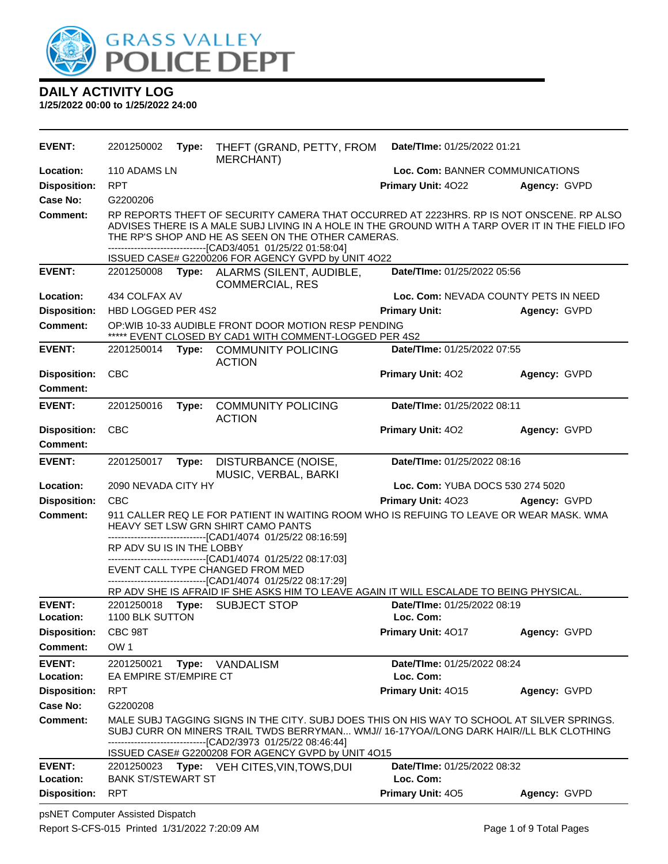

| EVENT:                                 | 2201250002<br>Date/TIme: 01/25/2022 01:21<br>Type:<br>THEFT (GRAND, PETTY, FROM<br><b>MERCHANT)</b>                                                                                                                                                                                                                                                                                 |       |                                                                                                                                                                                                                                                                                                                     |                                        |              |  |
|----------------------------------------|-------------------------------------------------------------------------------------------------------------------------------------------------------------------------------------------------------------------------------------------------------------------------------------------------------------------------------------------------------------------------------------|-------|---------------------------------------------------------------------------------------------------------------------------------------------------------------------------------------------------------------------------------------------------------------------------------------------------------------------|----------------------------------------|--------------|--|
| Location:                              | 110 ADAMS LN                                                                                                                                                                                                                                                                                                                                                                        |       |                                                                                                                                                                                                                                                                                                                     | Loc. Com: BANNER COMMUNICATIONS        |              |  |
| <b>Disposition:</b>                    | <b>RPT</b>                                                                                                                                                                                                                                                                                                                                                                          |       |                                                                                                                                                                                                                                                                                                                     | <b>Primary Unit: 4022</b>              | Agency: GVPD |  |
| Case No:                               | G2200206                                                                                                                                                                                                                                                                                                                                                                            |       |                                                                                                                                                                                                                                                                                                                     |                                        |              |  |
| Comment:                               |                                                                                                                                                                                                                                                                                                                                                                                     |       | RP REPORTS THEFT OF SECURITY CAMERA THAT OCCURRED AT 2223HRS. RP IS NOT ONSCENE. RP ALSO<br>ADVISES THERE IS A MALE SUBJ LIVING IN A HOLE IN THE GROUND WITH A TARP OVER IT IN THE FIELD IFO<br>THE RP'S SHOP AND HE AS SEEN ON THE OTHER CAMERAS.<br>--------------------------------[CAD3/4051 01/25/22 01:58:04] |                                        |              |  |
|                                        |                                                                                                                                                                                                                                                                                                                                                                                     |       | ISSUED CASE# G2200206 FOR AGENCY GVPD by UNIT 4O22                                                                                                                                                                                                                                                                  |                                        |              |  |
| <b>EVENT:</b>                          |                                                                                                                                                                                                                                                                                                                                                                                     |       | 2201250008 Type: ALARMS (SILENT, AUDIBLE,<br><b>COMMERCIAL, RES</b>                                                                                                                                                                                                                                                 | Date/TIme: 01/25/2022 05:56            |              |  |
| Location:                              | 434 COLFAX AV                                                                                                                                                                                                                                                                                                                                                                       |       |                                                                                                                                                                                                                                                                                                                     | Loc. Com: NEVADA COUNTY PETS IN NEED   |              |  |
| <b>Disposition:</b>                    | HBD LOGGED PER 4S2                                                                                                                                                                                                                                                                                                                                                                  |       |                                                                                                                                                                                                                                                                                                                     | <b>Primary Unit:</b>                   | Agency: GVPD |  |
| <b>Comment:</b>                        |                                                                                                                                                                                                                                                                                                                                                                                     |       | OP: WIB 10-33 AUDIBLE FRONT DOOR MOTION RESP PENDING<br>***** EVENT CLOSED BY CAD1 WITH COMMENT-LOGGED PER 4S2                                                                                                                                                                                                      |                                        |              |  |
| <b>EVENT:</b>                          | 2201250014                                                                                                                                                                                                                                                                                                                                                                          | Type: | <b>COMMUNITY POLICING</b><br><b>ACTION</b>                                                                                                                                                                                                                                                                          | Date/TIme: 01/25/2022 07:55            |              |  |
| <b>Disposition:</b><br><b>Comment:</b> | <b>CBC</b>                                                                                                                                                                                                                                                                                                                                                                          |       |                                                                                                                                                                                                                                                                                                                     | Primary Unit: 402                      | Agency: GVPD |  |
| <b>EVENT:</b>                          | 2201250016                                                                                                                                                                                                                                                                                                                                                                          | Type: | <b>COMMUNITY POLICING</b><br><b>ACTION</b>                                                                                                                                                                                                                                                                          | Date/TIme: 01/25/2022 08:11            |              |  |
| <b>Disposition:</b><br><b>Comment:</b> | <b>CBC</b>                                                                                                                                                                                                                                                                                                                                                                          |       |                                                                                                                                                                                                                                                                                                                     | Primary Unit: 402                      | Agency: GVPD |  |
| <b>EVENT:</b>                          | 2201250017                                                                                                                                                                                                                                                                                                                                                                          | Type: | DISTURBANCE (NOISE,<br>MUSIC, VERBAL, BARKI                                                                                                                                                                                                                                                                         | Date/TIme: 01/25/2022 08:16            |              |  |
| Location:                              | 2090 NEVADA CITY HY                                                                                                                                                                                                                                                                                                                                                                 |       |                                                                                                                                                                                                                                                                                                                     | Loc. Com: YUBA DOCS 530 274 5020       |              |  |
| <b>Disposition:</b>                    | <b>CBC</b>                                                                                                                                                                                                                                                                                                                                                                          |       |                                                                                                                                                                                                                                                                                                                     | <b>Primary Unit: 4023 Agency: GVPD</b> |              |  |
| <b>Comment:</b>                        | 911 CALLER REQ LE FOR PATIENT IN WAITING ROOM WHO IS REFUING TO LEAVE OR WEAR MASK. WMA<br>HEAVY SET LSW GRN SHIRT CAMO PANTS<br>-------------------------------[CAD1/4074 01/25/22 08:16:59]<br>RP ADV SU IS IN THE LOBBY<br>--------------------[CAD1/4074_01/25/22_08:17:03]<br>EVENT CALL TYPE CHANGED FROM MED<br>-------------------------------[CAD1/4074 01/25/22 08:17:29] |       |                                                                                                                                                                                                                                                                                                                     |                                        |              |  |
| <b>EVENT:</b>                          | 2201250018                                                                                                                                                                                                                                                                                                                                                                          | Type: | RP ADV SHE IS AFRAID IF SHE ASKS HIM TO LEAVE AGAIN IT WILL ESCALADE TO BEING PHYSICAL.<br><b>SUBJECT STOP</b>                                                                                                                                                                                                      | Date/TIme: 01/25/2022 08:19            |              |  |
| Location:                              | 1100 BLK SUTTON                                                                                                                                                                                                                                                                                                                                                                     |       |                                                                                                                                                                                                                                                                                                                     | Loc. Com:                              |              |  |
| <b>Disposition:</b>                    | CBC 98T                                                                                                                                                                                                                                                                                                                                                                             |       |                                                                                                                                                                                                                                                                                                                     | Primary Unit: 4017                     | Agency: GVPD |  |
| <b>Comment:</b>                        | OW <sub>1</sub>                                                                                                                                                                                                                                                                                                                                                                     |       |                                                                                                                                                                                                                                                                                                                     |                                        |              |  |
| <b>EVENT:</b>                          | 2201250021                                                                                                                                                                                                                                                                                                                                                                          | Type: | VANDALISM                                                                                                                                                                                                                                                                                                           | Date/TIme: 01/25/2022 08:24            |              |  |
| Location:                              | EA EMPIRE ST/EMPIRE CT                                                                                                                                                                                                                                                                                                                                                              |       |                                                                                                                                                                                                                                                                                                                     | Loc. Com:                              |              |  |
| <b>Disposition:</b>                    | <b>RPT</b>                                                                                                                                                                                                                                                                                                                                                                          |       |                                                                                                                                                                                                                                                                                                                     | Primary Unit: 4015                     | Agency: GVPD |  |
| Case No:                               | G2200208                                                                                                                                                                                                                                                                                                                                                                            |       |                                                                                                                                                                                                                                                                                                                     |                                        |              |  |
| <b>Comment:</b>                        | MALE SUBJ TAGGING SIGNS IN THE CITY. SUBJ DOES THIS ON HIS WAY TO SCHOOL AT SILVER SPRINGS.<br>SUBJ CURR ON MINERS TRAIL TWDS BERRYMAN WMJ// 16-17YOA//LONG DARK HAIR//LL BLK CLOTHING<br>-------------[CAD2/3973 01/25/22 08:46:44]<br>ISSUED CASE# G2200208 FOR AGENCY GVPD by UNIT 4O15                                                                                          |       |                                                                                                                                                                                                                                                                                                                     |                                        |              |  |
| <b>EVENT:</b>                          | 2201250023                                                                                                                                                                                                                                                                                                                                                                          |       | Type: VEH CITES, VIN, TOWS, DUI                                                                                                                                                                                                                                                                                     | Date/TIme: 01/25/2022 08:32            |              |  |
| Location:                              | <b>BANK ST/STEWART ST</b>                                                                                                                                                                                                                                                                                                                                                           |       |                                                                                                                                                                                                                                                                                                                     | Loc. Com:                              |              |  |
| <b>Disposition:</b>                    | <b>RPT</b>                                                                                                                                                                                                                                                                                                                                                                          |       |                                                                                                                                                                                                                                                                                                                     | Primary Unit: 405                      | Agency: GVPD |  |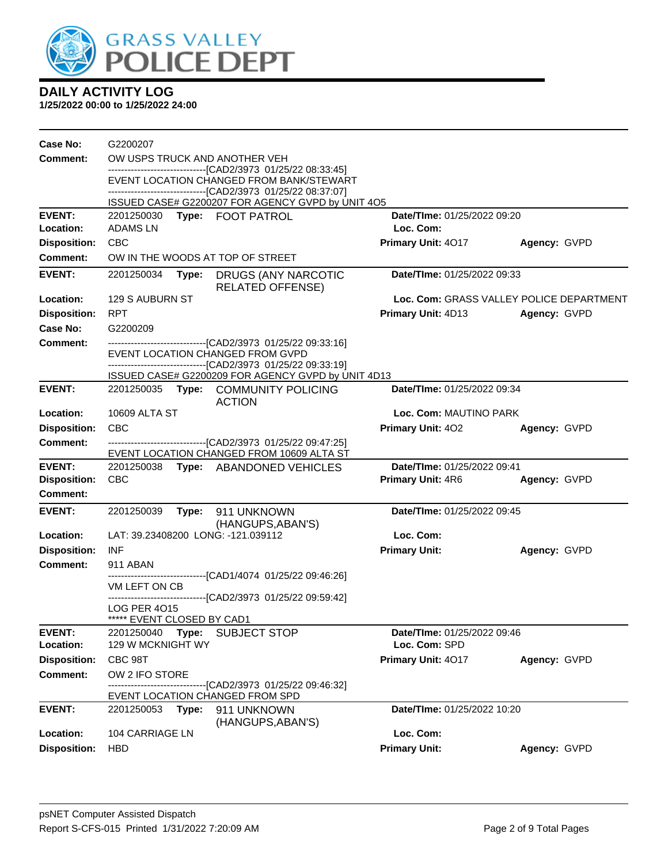

| Case No:            | G2200207                                                                                                 |       |                                                                                                                      |                             |                                          |  |  |
|---------------------|----------------------------------------------------------------------------------------------------------|-------|----------------------------------------------------------------------------------------------------------------------|-----------------------------|------------------------------------------|--|--|
| <b>Comment:</b>     | OW USPS TRUCK AND ANOTHER VEH                                                                            |       |                                                                                                                      |                             |                                          |  |  |
|                     | -------------------------------[CAD2/3973 01/25/22 08:33:45]                                             |       |                                                                                                                      |                             |                                          |  |  |
|                     | EVENT LOCATION CHANGED FROM BANK/STEWART<br>-------------------------------[CAD2/3973 01/25/22 08:37:07] |       |                                                                                                                      |                             |                                          |  |  |
|                     |                                                                                                          |       | ISSUED CASE# G2200207 FOR AGENCY GVPD by UNIT 4O5                                                                    |                             |                                          |  |  |
| <b>EVENT:</b>       |                                                                                                          |       | 2201250030 Type: FOOT PATROL                                                                                         | Date/TIme: 01/25/2022 09:20 |                                          |  |  |
| Location:           | ADAMS LN                                                                                                 |       |                                                                                                                      | Loc. Com:                   |                                          |  |  |
| <b>Disposition:</b> | <b>CBC</b>                                                                                               |       |                                                                                                                      | Primary Unit: 4017          | Agency: GVPD                             |  |  |
| <b>Comment:</b>     | OW IN THE WOODS AT TOP OF STREET                                                                         |       |                                                                                                                      |                             |                                          |  |  |
| <b>EVENT:</b>       | Date/TIme: 01/25/2022 09:33<br>2201250034 Type:<br>DRUGS (ANY NARCOTIC<br><b>RELATED OFFENSE)</b>        |       |                                                                                                                      |                             |                                          |  |  |
| Location:           | 129 S AUBURN ST                                                                                          |       |                                                                                                                      |                             | Loc. Com: GRASS VALLEY POLICE DEPARTMENT |  |  |
| <b>Disposition:</b> | <b>RPT</b>                                                                                               |       |                                                                                                                      | Primary Unit: 4D13          | Agency: GVPD                             |  |  |
| Case No:            | G2200209                                                                                                 |       |                                                                                                                      |                             |                                          |  |  |
| <b>Comment:</b>     |                                                                                                          |       | --------------------------------[CAD2/3973 01/25/22 09:33:16]                                                        |                             |                                          |  |  |
|                     |                                                                                                          |       | EVENT LOCATION CHANGED FROM GVPD                                                                                     |                             |                                          |  |  |
|                     |                                                                                                          |       | ---------------------------------[CAD2/3973_01/25/22_09:33:19]<br>ISSUED CASE# G2200209 FOR AGENCY GVPD by UNIT 4D13 |                             |                                          |  |  |
| <b>EVENT:</b>       |                                                                                                          |       | 2201250035 Type: COMMUNITY POLICING                                                                                  | Date/TIme: 01/25/2022 09:34 |                                          |  |  |
|                     |                                                                                                          |       | <b>ACTION</b>                                                                                                        |                             |                                          |  |  |
| Location:           | 10609 ALTA ST                                                                                            |       |                                                                                                                      |                             | Loc. Com: MAUTINO PARK                   |  |  |
| <b>Disposition:</b> | <b>CBC</b>                                                                                               |       |                                                                                                                      | Primary Unit: 402           | Agency: GVPD                             |  |  |
| <b>Comment:</b>     |                                                                                                          |       | -------------------------------[CAD2/3973 01/25/22 09:47:25]<br>EVENT LOCATION CHANGED FROM 10609 ALTA ST            |                             |                                          |  |  |
| <b>EVENT:</b>       | 2201250038 Type: ABANDONED VEHICLES                                                                      |       |                                                                                                                      | Date/TIme: 01/25/2022 09:41 |                                          |  |  |
| <b>Disposition:</b> | <b>CBC</b>                                                                                               |       |                                                                                                                      | <b>Primary Unit: 4R6</b>    | Agency: GVPD                             |  |  |
| <b>Comment:</b>     |                                                                                                          |       |                                                                                                                      |                             |                                          |  |  |
| <b>EVENT:</b>       | 2201250039                                                                                               | Type: | 911 UNKNOWN                                                                                                          | Date/TIme: 01/25/2022 09:45 |                                          |  |  |
|                     |                                                                                                          |       | (HANGUPS, ABAN'S)                                                                                                    |                             |                                          |  |  |
| Location:           |                                                                                                          |       | LAT: 39.23408200 LONG: -121.039112                                                                                   | Loc. Com:                   |                                          |  |  |
| <b>Disposition:</b> | <b>INF</b>                                                                                               |       |                                                                                                                      | <b>Primary Unit:</b>        | Agency: GVPD                             |  |  |
| <b>Comment:</b>     | 911 ABAN                                                                                                 |       | --------------------------[CAD1/4074_01/25/22 09:46:26]                                                              |                             |                                          |  |  |
|                     | VM LEFT ON CB                                                                                            |       |                                                                                                                      |                             |                                          |  |  |
|                     | <b>LOG PER 4015</b>                                                                                      |       | ---------------------------------[CAD2/3973_01/25/22_09:59:42]                                                       |                             |                                          |  |  |
|                     | ***** EVENT CLOSED BY CAD1                                                                               |       |                                                                                                                      |                             |                                          |  |  |
| <b>EVENT:</b>       | 2201250040                                                                                               | Type: | <b>SUBJECT STOP</b>                                                                                                  | Date/TIme: 01/25/2022 09:46 |                                          |  |  |
| Location:           | 129 W MCKNIGHT WY                                                                                        |       |                                                                                                                      | Loc. Com: SPD               |                                          |  |  |
| <b>Disposition:</b> | CBC 98T                                                                                                  |       |                                                                                                                      | Primary Unit: 4017          | Agency: GVPD                             |  |  |
| <b>Comment:</b>     | OW 2 IFO STORE                                                                                           |       |                                                                                                                      |                             |                                          |  |  |
|                     |                                                                                                          |       | ------------------[CAD2/3973_01/25/22_09:46:32]<br>EVENT LOCATION CHANGED FROM SPD                                   |                             |                                          |  |  |
| <b>EVENT:</b>       | 2201250053 <b>Type:</b>                                                                                  |       | 911 UNKNOWN<br>(HANGUPS, ABAN'S)                                                                                     | Date/TIme: 01/25/2022 10:20 |                                          |  |  |
| Location:           | <b>104 CARRIAGE LN</b>                                                                                   |       |                                                                                                                      | Loc. Com:                   |                                          |  |  |
| <b>Disposition:</b> | <b>HBD</b>                                                                                               |       |                                                                                                                      | <b>Primary Unit:</b>        | Agency: GVPD                             |  |  |
|                     |                                                                                                          |       |                                                                                                                      |                             |                                          |  |  |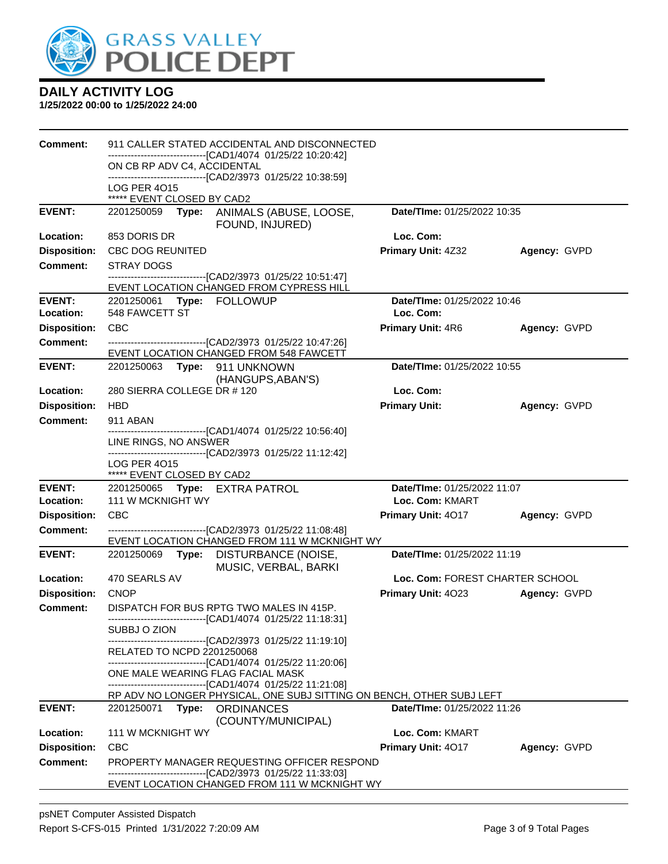

| Comment:            | 911 CALLER STATED ACCIDENTAL AND DISCONNECTED                                                             |                                    |              |  |  |  |
|---------------------|-----------------------------------------------------------------------------------------------------------|------------------------------------|--------------|--|--|--|
|                     | -------------------------------[CAD1/4074 01/25/22 10:20:42]<br>ON CB RP ADV C4, ACCIDENTAL               |                                    |              |  |  |  |
|                     | --------------------------------[CAD2/3973 01/25/22 10:38:59]<br><b>LOG PER 4015</b>                      |                                    |              |  |  |  |
|                     | ***** EVENT CLOSED BY CAD2                                                                                |                                    |              |  |  |  |
| <b>EVENT:</b>       | 2201250059 Type: ANIMALS (ABUSE, LOOSE,<br>FOUND, INJURED)                                                | Date/TIme: 01/25/2022 10:35        |              |  |  |  |
| Location:           | 853 DORIS DR                                                                                              | Loc. Com:                          |              |  |  |  |
| <b>Disposition:</b> | <b>CBC DOG REUNITED</b>                                                                                   | <b>Primary Unit: 4Z32</b>          | Agency: GVPD |  |  |  |
| <b>Comment:</b>     | <b>STRAY DOGS</b>                                                                                         |                                    |              |  |  |  |
|                     | --------------------------------[CAD2/3973 01/25/22 10:51:47]<br>EVENT LOCATION CHANGED FROM CYPRESS HILL |                                    |              |  |  |  |
| <b>EVENT:</b>       | 2201250061 Type: FOLLOWUP                                                                                 | Date/TIme: 01/25/2022 10:46        |              |  |  |  |
| Location:           | 548 FAWCETT ST                                                                                            | Loc. Com:                          |              |  |  |  |
| <b>Disposition:</b> | <b>CBC</b>                                                                                                | <b>Primary Unit: 4R6</b>           | Agency: GVPD |  |  |  |
| <b>Comment:</b>     | -------------------------------[CAD2/3973 01/25/22 10:47:26]                                              |                                    |              |  |  |  |
|                     | EVENT LOCATION CHANGED FROM 548 FAWCETT                                                                   |                                    |              |  |  |  |
| <b>EVENT:</b>       | 2201250063 Type: 911 UNKNOWN<br>(HANGUPS, ABAN'S)                                                         | Date/TIme: 01/25/2022 10:55        |              |  |  |  |
| <b>Location:</b>    | 280 SIERRA COLLEGE DR # 120                                                                               | Loc. Com:                          |              |  |  |  |
| <b>Disposition:</b> | <b>HBD</b>                                                                                                | <b>Primary Unit:</b>               | Agency: GVPD |  |  |  |
| <b>Comment:</b>     | 911 ABAN                                                                                                  |                                    |              |  |  |  |
|                     | -------------------------[CAD1/4074 01/25/22 10:56:40]                                                    |                                    |              |  |  |  |
|                     | LINE RINGS, NO ANSWER<br>-------------------------------[CAD2/3973 01/25/22 11:12:42]                     |                                    |              |  |  |  |
|                     | <b>LOG PER 4015</b>                                                                                       |                                    |              |  |  |  |
| <b>EVENT:</b>       | ***** EVENT CLOSED BY CAD2                                                                                | Date/TIme: 01/25/2022 11:07        |              |  |  |  |
| Location:           | 2201250065 Type: EXTRA PATROL<br>111 W MCKNIGHT WY                                                        | Loc. Com: KMART                    |              |  |  |  |
| <b>Disposition:</b> | <b>CBC</b>                                                                                                | <b>Primary Unit: 4017</b>          | Agency: GVPD |  |  |  |
| <b>Comment:</b>     | --------------------------------[CAD2/3973 01/25/22 11:08:48]                                             |                                    |              |  |  |  |
|                     | EVENT LOCATION CHANGED FROM 111 W MCKNIGHT WY                                                             |                                    |              |  |  |  |
| <b>EVENT:</b>       | 2201250069<br>DISTURBANCE (NOISE,<br>Type:<br>MUSIC, VERBAL, BARKI                                        | Date/TIme: 01/25/2022 11:19        |              |  |  |  |
| Location:           | 470 SEARLS AV                                                                                             | Loc. Com: FOREST CHARTER SCHOOL    |              |  |  |  |
| <b>Disposition:</b> |                                                                                                           |                                    | Agency: GVPD |  |  |  |
|                     | <b>CNOP</b>                                                                                               | Primary Unit: 4023                 |              |  |  |  |
| <b>Comment:</b>     | DISPATCH FOR BUS RPTG TWO MALES IN 415P.                                                                  |                                    |              |  |  |  |
|                     | ------------------------------[CAD1/4074_01/25/22 11:18:31]<br>SUBBJ O ZION                               |                                    |              |  |  |  |
|                     | -------------------------[CAD2/3973 01/25/22 11:19:10]                                                    |                                    |              |  |  |  |
|                     | RELATED TO NCPD 2201250068<br>-------------------------------[CAD1/4074 01/25/22 11:20:06]                |                                    |              |  |  |  |
|                     | ONE MALE WEARING FLAG FACIAL MASK                                                                         |                                    |              |  |  |  |
|                     | -------------------------------[CAD1/4074 01/25/22 11:21:08]                                              |                                    |              |  |  |  |
| <b>EVENT:</b>       | RP ADV NO LONGER PHYSICAL, ONE SUBJ SITTING ON BENCH, OTHER SUBJ LEFT<br>2201250071 Type: ORDINANCES      | <b>Date/Time: 01/25/2022 11:26</b> |              |  |  |  |
| Location:           | (COUNTY/MUNICIPAL)<br>111 W MCKNIGHT WY                                                                   | Loc. Com: KMART                    |              |  |  |  |
| <b>Disposition:</b> | <b>CBC</b>                                                                                                | Primary Unit: 4017                 | Agency: GVPD |  |  |  |
| <b>Comment:</b>     | PROPERTY MANAGER REQUESTING OFFICER RESPOND<br>--------------------[CAD2/3973_01/25/22 11:33:03]          |                                    |              |  |  |  |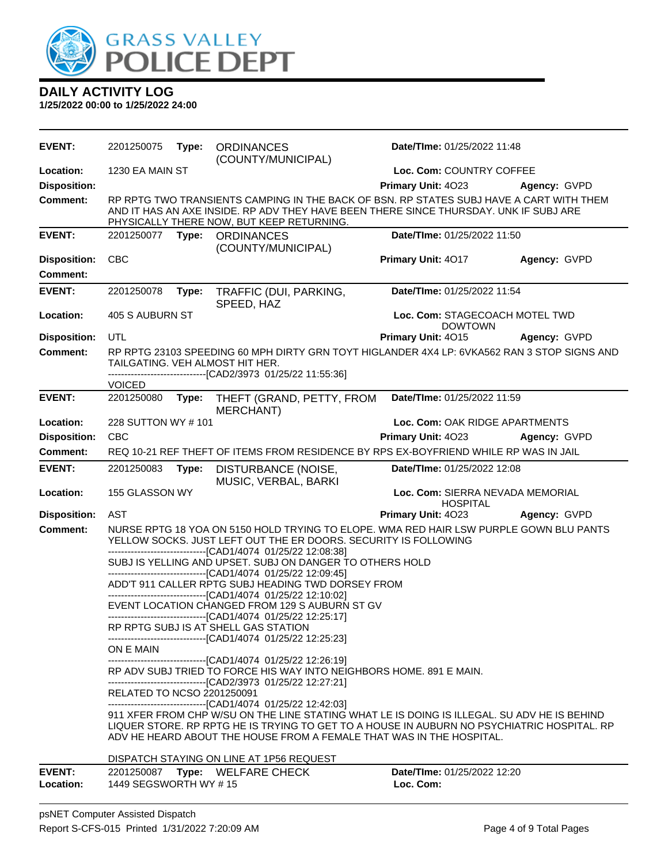

| <b>EVENT:</b>       | 2201250075                 | Type: | <b>ORDINANCES</b><br>(COUNTY/MUNICIPAL)                                                                                                                                                                                                                           | Date/TIme: 01/25/2022 11:48                         |              |
|---------------------|----------------------------|-------|-------------------------------------------------------------------------------------------------------------------------------------------------------------------------------------------------------------------------------------------------------------------|-----------------------------------------------------|--------------|
| Location:           | 1230 EA MAIN ST            |       | Loc. Com: COUNTRY COFFEE                                                                                                                                                                                                                                          |                                                     |              |
| <b>Disposition:</b> |                            |       |                                                                                                                                                                                                                                                                   | Primary Unit: 4023                                  | Agency: GVPD |
| <b>Comment:</b>     |                            |       | RP RPTG TWO TRANSIENTS CAMPING IN THE BACK OF BSN. RP STATES SUBJ HAVE A CART WITH THEM<br>AND IT HAS AN AXE INSIDE. RP ADV THEY HAVE BEEN THERE SINCE THURSDAY. UNK IF SUBJ ARE<br>PHYSICALLY THERE NOW, BUT KEEP RETURNING.                                     |                                                     |              |
| <b>EVENT:</b>       | 2201250077                 | Type: | <b>ORDINANCES</b><br>(COUNTY/MUNICIPAL)                                                                                                                                                                                                                           | Date/TIme: 01/25/2022 11:50                         |              |
| <b>Disposition:</b> | <b>CBC</b>                 |       |                                                                                                                                                                                                                                                                   | Primary Unit: 4017                                  | Agency: GVPD |
| <b>Comment:</b>     |                            |       |                                                                                                                                                                                                                                                                   |                                                     |              |
| <b>EVENT:</b>       | 2201250078                 | Type: | TRAFFIC (DUI, PARKING,<br>SPEED, HAZ                                                                                                                                                                                                                              | Date/TIme: 01/25/2022 11:54                         |              |
| Location:           | 405 S AUBURN ST            |       |                                                                                                                                                                                                                                                                   | Loc. Com: STAGECOACH MOTEL TWD<br><b>DOWTOWN</b>    |              |
| <b>Disposition:</b> | UTL                        |       |                                                                                                                                                                                                                                                                   | Primary Unit: 4015                                  | Agency: GVPD |
| <b>Comment:</b>     |                            |       | RP RPTG 23103 SPEEDING 60 MPH DIRTY GRN TOYT HIGLANDER 4X4 LP: 6VKA562 RAN 3 STOP SIGNS AND<br>TAILGATING. VEH ALMOST HIT HER.<br>--------------------------------[CAD2/3973 01/25/22 11:55:36]                                                                   |                                                     |              |
|                     | <b>VOICED</b>              |       |                                                                                                                                                                                                                                                                   |                                                     |              |
| <b>EVENT:</b>       | 2201250080                 | Type: | THEFT (GRAND, PETTY, FROM<br><b>MERCHANT)</b>                                                                                                                                                                                                                     | Date/TIme: 01/25/2022 11:59                         |              |
| Location:           | 228 SUTTON WY #101         |       |                                                                                                                                                                                                                                                                   | Loc. Com: OAK RIDGE APARTMENTS                      |              |
| <b>Disposition:</b> | CBC                        |       |                                                                                                                                                                                                                                                                   | Primary Unit: 4023                                  | Agency: GVPD |
| <b>Comment:</b>     |                            |       | REQ 10-21 REF THEFT OF ITEMS FROM RESIDENCE BY RPS EX-BOYFRIEND WHILE RP WAS IN JAIL                                                                                                                                                                              |                                                     |              |
| <b>EVENT:</b>       | 2201250083                 | Type: | DISTURBANCE (NOISE,<br>MUSIC, VERBAL, BARKI                                                                                                                                                                                                                       | Date/TIme: 01/25/2022 12:08                         |              |
| Location:           | 155 GLASSON WY             |       |                                                                                                                                                                                                                                                                   | Loc. Com: SIERRA NEVADA MEMORIAL<br><b>HOSPITAL</b> |              |
| <b>Disposition:</b> | <b>AST</b>                 |       |                                                                                                                                                                                                                                                                   | Primary Unit: 4023                                  | Agency: GVPD |
| <b>Comment:</b>     |                            |       | NURSE RPTG 18 YOA ON 5150 HOLD TRYING TO ELOPE. WMA RED HAIR LSW PURPLE GOWN BLU PANTS<br>YELLOW SOCKS. JUST LEFT OUT THE ER DOORS. SECURITY IS FOLLOWING<br>-------------------------------[CAD1/4074 01/25/22 12:08:38]                                         |                                                     |              |
|                     |                            |       | SUBJ IS YELLING AND UPSET. SUBJ ON DANGER TO OTHERS HOLD<br>---------------------------------[CAD1/4074 01/25/22 12:09:45]                                                                                                                                        |                                                     |              |
|                     |                            |       | ADD'T 911 CALLER RPTG SUBJ HEADING TWD DORSEY FROM                                                                                                                                                                                                                |                                                     |              |
|                     |                            |       | -------------------------------[CAD1/4074 01/25/22 12:10:02]<br>EVENT LOCATION CHANGED FROM 129 S AUBURN ST GV<br>-------------------------------[CAD1/4074 01/25/22 12:25:17]                                                                                    |                                                     |              |
|                     |                            |       | RP RPTG SUBJ IS AT SHELL GAS STATION<br>---------------------------------[CAD1/4074 01/25/22 12:25:23]                                                                                                                                                            |                                                     |              |
|                     | ON E MAIN                  |       | -------------------------------[CAD1/4074 01/25/22 12:26:19]                                                                                                                                                                                                      |                                                     |              |
|                     |                            |       | RP ADV SUBJ TRIED TO FORCE HIS WAY INTO NEIGHBORS HOME. 891 E MAIN.<br>--------------------------------[CAD2/3973 01/25/22 12:27:21]                                                                                                                              |                                                     |              |
|                     | RELATED TO NCSO 2201250091 |       | -------------------------------[CAD1/4074 01/25/22 12:42:03]                                                                                                                                                                                                      |                                                     |              |
|                     |                            |       | 911 XFER FROM CHP W/SU ON THE LINE STATING WHAT LE IS DOING IS ILLEGAL. SU ADV HE IS BEHIND<br>LIQUER STORE. RP RPTG HE IS TRYING TO GET TO A HOUSE IN AUBURN NO PSYCHIATRIC HOSPITAL. RP<br>ADV HE HEARD ABOUT THE HOUSE FROM A FEMALE THAT WAS IN THE HOSPITAL. |                                                     |              |
|                     |                            |       | DISPATCH STAYING ON LINE AT 1P56 REQUEST                                                                                                                                                                                                                          |                                                     |              |
| <b>EVENT:</b>       |                            |       | 2201250087 Type: WELFARE CHECK                                                                                                                                                                                                                                    | <b>Date/Time: 01/25/2022 12:20</b>                  |              |
| Location:           | 1449 SEGSWORTH WY #15      |       |                                                                                                                                                                                                                                                                   | Loc. Com:                                           |              |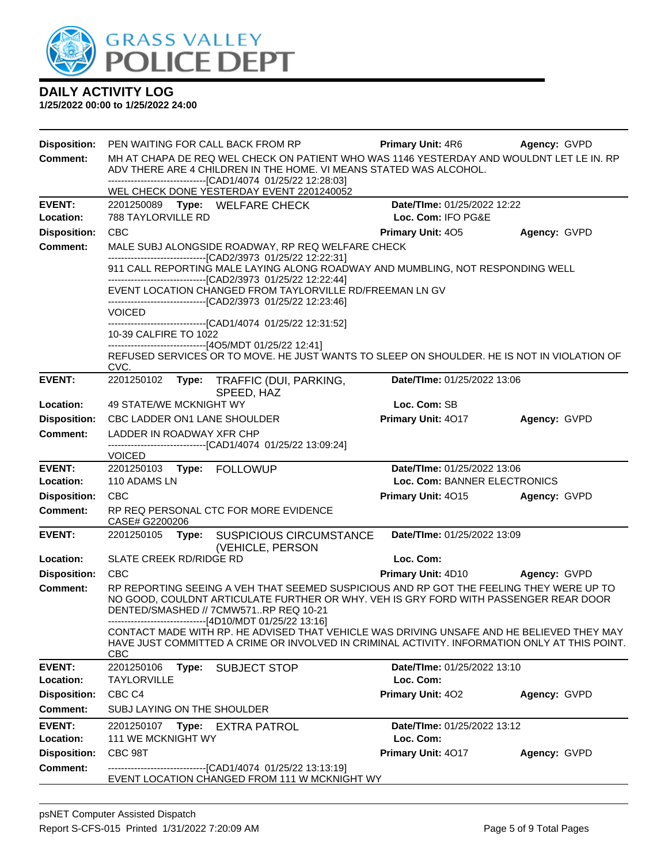

| <b>Disposition:</b>        | PEN WAITING FOR CALL BACK FROM RP                                                                                                                                                                                                                                                   | <b>Primary Unit: 4R6</b>                 | Agency: GVPD |
|----------------------------|-------------------------------------------------------------------------------------------------------------------------------------------------------------------------------------------------------------------------------------------------------------------------------------|------------------------------------------|--------------|
| <b>Comment:</b>            | MH AT CHAPA DE REQ WEL CHECK ON PATIENT WHO WAS 1146 YESTERDAY AND WOULDNT LET LE IN, RP<br>ADV THERE ARE 4 CHILDREN IN THE HOME. VI MEANS STATED WAS ALCOHOL.<br>--------------------------------[CAD1/4074 01/25/22 12:28:03]<br>WEL CHECK DONE YESTERDAY EVENT 2201240052        |                                          |              |
| <b>EVENT:</b>              | 2201250089 Type: WELFARE CHECK                                                                                                                                                                                                                                                      | Date/TIme: 01/25/2022 12:22              |              |
| Location:                  | 788 TAYLORVILLE RD                                                                                                                                                                                                                                                                  | Loc. Com: IFO PG&E                       |              |
| <b>Disposition:</b>        | <b>CBC</b>                                                                                                                                                                                                                                                                          | <b>Primary Unit: 405</b>                 | Agency: GVPD |
| <b>Comment:</b>            | MALE SUBJ ALONGSIDE ROADWAY, RP REQ WELFARE CHECK                                                                                                                                                                                                                                   |                                          |              |
|                            | ----------------------------------[CAD2/3973 01/25/22 12:22:31]<br>911 CALL REPORTING MALE LAYING ALONG ROADWAY AND MUMBLING, NOT RESPONDING WELL<br>-------------------------------[CAD2/3973 01/25/22 12:22:44]<br>EVENT LOCATION CHANGED FROM TAYLORVILLE RD/FREEMAN LN GV       |                                          |              |
|                            | -------------------------------[CAD2/3973 01/25/22 12:23:46]                                                                                                                                                                                                                        |                                          |              |
|                            | <b>VOICED</b>                                                                                                                                                                                                                                                                       |                                          |              |
|                            | ------------------------[CAD1/4074 01/25/22 12:31:52]<br>10-39 CALFIRE TO 1022                                                                                                                                                                                                      |                                          |              |
|                            | ------------------------------[4O5/MDT 01/25/22 12:41]                                                                                                                                                                                                                              |                                          |              |
|                            | REFUSED SERVICES OR TO MOVE. HE JUST WANTS TO SLEEP ON SHOULDER. HE IS NOT IN VIOLATION OF<br>CVC.                                                                                                                                                                                  |                                          |              |
| <b>EVENT:</b>              | 2201250102 Type: TRAFFIC (DUI, PARKING,<br>SPEED, HAZ                                                                                                                                                                                                                               | Date/TIme: 01/25/2022 13:06              |              |
| Location:                  | 49 STATE/WE MCKNIGHT WY                                                                                                                                                                                                                                                             | Loc. Com: SB                             |              |
| <b>Disposition:</b>        | <b>CBC LADDER ON1 LANE SHOULDER</b>                                                                                                                                                                                                                                                 | Primary Unit: 4017                       | Agency: GVPD |
| <b>Comment:</b>            | LADDER IN ROADWAY XFR CHP                                                                                                                                                                                                                                                           |                                          |              |
|                            | -------------------------------[CAD1/4074 01/25/22 13:09:24]<br><b>VOICED</b>                                                                                                                                                                                                       |                                          |              |
| <b>EVENT:</b>              | 2201250103 Type: FOLLOWUP                                                                                                                                                                                                                                                           | Date/TIme: 01/25/2022 13:06              |              |
| Location:                  | 110 ADAMS LN                                                                                                                                                                                                                                                                        | Loc. Com: BANNER ELECTRONICS             |              |
| <b>Disposition:</b>        | <b>CBC</b>                                                                                                                                                                                                                                                                          | Primary Unit: 4015                       | Agency: GVPD |
| <b>Comment:</b>            | RP REQ PERSONAL CTC FOR MORE EVIDENCE<br>CASE# G2200206                                                                                                                                                                                                                             |                                          |              |
| <b>EVENT:</b>              | 2201250105 Type:<br><b>SUSPICIOUS CIRCUMSTANCE</b><br>(VEHICLE, PERSON                                                                                                                                                                                                              | Date/TIme: 01/25/2022 13:09              |              |
| Location:                  | SLATE CREEK RD/RIDGE RD                                                                                                                                                                                                                                                             | Loc. Com:                                |              |
| <b>Disposition:</b>        | CBC                                                                                                                                                                                                                                                                                 | Primary Unit: 4D10                       | Agency: GVPD |
| <b>Comment:</b>            | RP REPORTING SEEING A VEH THAT SEEMED SUSPICIOUS AND RP GOT THE FEELING THEY WERE UP TO<br>NO GOOD, COULDNT ARTICULATE FURTHER OR WHY. VEH IS GRY FORD WITH PASSENGER REAR DOOR<br>DENTED/SMASHED // 7CMW571RP REQ 10-21<br>------------------------------[4D10/MDT 01/25/22 13:16] |                                          |              |
|                            | CONTACT MADE WITH RP. HE ADVISED THAT VEHICLE WAS DRIVING UNSAFE AND HE BELIEVED THEY MAY<br>HAVE JUST COMMITTED A CRIME OR INVOLVED IN CRIMINAL ACTIVITY. INFORMATION ONLY AT THIS POINT.<br><b>CBC</b>                                                                            |                                          |              |
| <b>EVENT:</b>              | 2201250106<br>Type:<br><b>SUBJECT STOP</b>                                                                                                                                                                                                                                          | Date/TIme: 01/25/2022 13:10              |              |
| Location:                  | <b>TAYLORVILLE</b>                                                                                                                                                                                                                                                                  | Loc. Com:                                |              |
| <b>Disposition:</b>        | CBC <sub>C4</sub>                                                                                                                                                                                                                                                                   | Primary Unit: 402                        | Agency: GVPD |
| <b>Comment:</b>            | SUBJ LAYING ON THE SHOULDER                                                                                                                                                                                                                                                         |                                          |              |
| <b>EVENT:</b><br>Location: | 2201250107<br>Type:<br>EXTRA PATROL<br>111 WE MCKNIGHT WY                                                                                                                                                                                                                           | Date/TIme: 01/25/2022 13:12<br>Loc. Com: |              |
| <b>Disposition:</b>        | CBC 98T                                                                                                                                                                                                                                                                             | Primary Unit: 4017                       | Agency: GVPD |
| <b>Comment:</b>            | --------------------------------[CAD1/4074 01/25/22 13:13:19]<br>EVENT LOCATION CHANGED FROM 111 W MCKNIGHT WY                                                                                                                                                                      |                                          |              |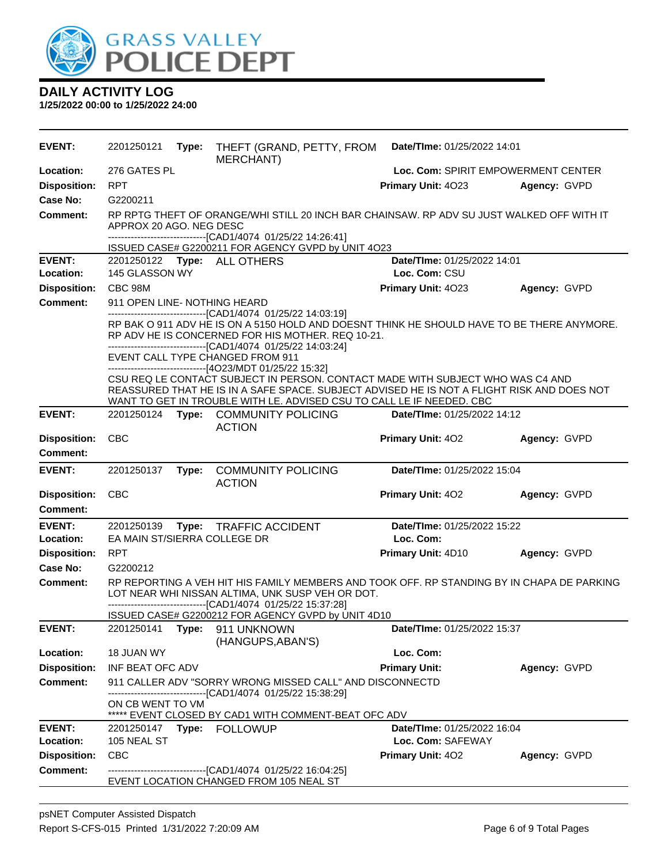

| EVENT:                           | 2201250121                                                                                                                                                                                                                                                                                                          | Type: | THEFT (GRAND, PETTY, FROM<br>MERCHANT)                                                                                                                                                                                                                                                                           | Date/TIme: 01/25/2022 14:01                   |              |  |
|----------------------------------|---------------------------------------------------------------------------------------------------------------------------------------------------------------------------------------------------------------------------------------------------------------------------------------------------------------------|-------|------------------------------------------------------------------------------------------------------------------------------------------------------------------------------------------------------------------------------------------------------------------------------------------------------------------|-----------------------------------------------|--------------|--|
| Location:                        | 276 GATES PL                                                                                                                                                                                                                                                                                                        |       | Loc. Com: SPIRIT EMPOWERMENT CENTER                                                                                                                                                                                                                                                                              |                                               |              |  |
| <b>Disposition:</b>              | <b>RPT</b>                                                                                                                                                                                                                                                                                                          |       |                                                                                                                                                                                                                                                                                                                  | Primary Unit: 4023                            | Agency: GVPD |  |
| Case No:                         | G2200211                                                                                                                                                                                                                                                                                                            |       |                                                                                                                                                                                                                                                                                                                  |                                               |              |  |
| <b>Comment:</b>                  | RP RPTG THEFT OF ORANGE/WHI STILL 20 INCH BAR CHAINSAW. RP ADV SU JUST WALKED OFF WITH IT<br>APPROX 20 AGO. NEG DESC<br>-------------------------------[CAD1/4074 01/25/22 14:26:41]<br>ISSUED CASE# G2200211 FOR AGENCY GVPD by UNIT 4O23                                                                          |       |                                                                                                                                                                                                                                                                                                                  |                                               |              |  |
| <b>EVENT:</b>                    |                                                                                                                                                                                                                                                                                                                     |       | 2201250122 Type: ALL OTHERS                                                                                                                                                                                                                                                                                      | Date/TIme: 01/25/2022 14:01                   |              |  |
| Location:                        | 145 GLASSON WY                                                                                                                                                                                                                                                                                                      |       |                                                                                                                                                                                                                                                                                                                  | Loc. Com: CSU                                 |              |  |
| <b>Disposition:</b>              | CBC 98M                                                                                                                                                                                                                                                                                                             |       |                                                                                                                                                                                                                                                                                                                  | Primary Unit: 4023                            | Agency: GVPD |  |
| <b>Comment:</b>                  | 911 OPEN LINE- NOTHING HEARD                                                                                                                                                                                                                                                                                        |       |                                                                                                                                                                                                                                                                                                                  |                                               |              |  |
|                                  | -------------------------------[CAD1/4074 01/25/22 14:03:19]<br>RP BAK O 911 ADV HE IS ON A 5150 HOLD AND DOESNT THINK HE SHOULD HAVE TO BE THERE ANYMORE.<br>RP ADV HE IS CONCERNED FOR HIS MOTHER, REQ 10-21.<br>-------------------------------[CAD1/4074 01/25/22 14:03:24]<br>EVENT CALL TYPE CHANGED FROM 911 |       |                                                                                                                                                                                                                                                                                                                  |                                               |              |  |
|                                  |                                                                                                                                                                                                                                                                                                                     |       | ------------------------------[4O23/MDT 01/25/22 15:32]<br>CSU REQ LE CONTACT SUBJECT IN PERSON. CONTACT MADE WITH SUBJECT WHO WAS C4 AND<br>REASSURED THAT HE IS IN A SAFE SPACE. SUBJECT ADVISED HE IS NOT A FLIGHT RISK AND DOES NOT<br>WANT TO GET IN TROUBLE WITH LE. ADVISED CSU TO CALL LE IF NEEDED. CBC |                                               |              |  |
| <b>EVENT:</b>                    | 2201250124                                                                                                                                                                                                                                                                                                          |       | Type: COMMUNITY POLICING<br><b>ACTION</b>                                                                                                                                                                                                                                                                        | Date/TIme: 01/25/2022 14:12                   |              |  |
| <b>Disposition:</b>              | <b>CBC</b>                                                                                                                                                                                                                                                                                                          |       |                                                                                                                                                                                                                                                                                                                  | Primary Unit: 402                             | Agency: GVPD |  |
| <b>Comment:</b>                  |                                                                                                                                                                                                                                                                                                                     |       |                                                                                                                                                                                                                                                                                                                  |                                               |              |  |
| <b>EVENT:</b>                    | 2201250137                                                                                                                                                                                                                                                                                                          | Type: | <b>COMMUNITY POLICING</b>                                                                                                                                                                                                                                                                                        | Date/TIme: 01/25/2022 15:04                   |              |  |
|                                  |                                                                                                                                                                                                                                                                                                                     |       |                                                                                                                                                                                                                                                                                                                  |                                               |              |  |
| <b>Disposition:</b>              | <b>CBC</b>                                                                                                                                                                                                                                                                                                          |       | <b>ACTION</b>                                                                                                                                                                                                                                                                                                    | Primary Unit: 402                             | Agency: GVPD |  |
| Comment:                         |                                                                                                                                                                                                                                                                                                                     |       |                                                                                                                                                                                                                                                                                                                  |                                               |              |  |
| <b>EVENT:</b>                    | 2201250139                                                                                                                                                                                                                                                                                                          |       | Type: TRAFFIC ACCIDENT                                                                                                                                                                                                                                                                                           | Date/TIme: 01/25/2022 15:22                   |              |  |
| Location:                        | EA MAIN ST/SIERRA COLLEGE DR                                                                                                                                                                                                                                                                                        |       |                                                                                                                                                                                                                                                                                                                  | Loc. Com:                                     |              |  |
| <b>Disposition:</b>              | <b>RPT</b>                                                                                                                                                                                                                                                                                                          |       |                                                                                                                                                                                                                                                                                                                  | Primary Unit: 4D10                            | Agency: GVPD |  |
| Case No:                         | G2200212                                                                                                                                                                                                                                                                                                            |       |                                                                                                                                                                                                                                                                                                                  |                                               |              |  |
| Comment:                         |                                                                                                                                                                                                                                                                                                                     |       | RP REPORTING A VEH HIT HIS FAMILY MEMBERS AND TOOK OFF. RP STANDING BY IN CHAPA DE PARKING<br>LOT NEAR WHI NISSAN ALTIMA, UNK SUSP VEH OR DOT.                                                                                                                                                                   |                                               |              |  |
|                                  |                                                                                                                                                                                                                                                                                                                     |       | ---------------------------[CAD1/4074_01/25/22 15:37:28]<br>ISSUED CASE# G2200212 FOR AGENCY GVPD by UNIT 4D10                                                                                                                                                                                                   |                                               |              |  |
| <b>EVENT:</b>                    | 2201250141                                                                                                                                                                                                                                                                                                          | Type: | 911 UNKNOWN                                                                                                                                                                                                                                                                                                      | Date/TIme: 01/25/2022 15:37                   |              |  |
| Location:                        | 18 JUAN WY                                                                                                                                                                                                                                                                                                          |       | (HANGUPS, ABAN'S)                                                                                                                                                                                                                                                                                                | Loc. Com:                                     |              |  |
| <b>Disposition:</b>              | INF BEAT OFC ADV                                                                                                                                                                                                                                                                                                    |       |                                                                                                                                                                                                                                                                                                                  | <b>Primary Unit:</b>                          | Agency: GVPD |  |
| <b>Comment:</b>                  | ON CB WENT TO VM                                                                                                                                                                                                                                                                                                    |       | 911 CALLER ADV "SORRY WRONG MISSED CALL" AND DISCONNECTD<br>-----------------------[CAD1/4074_01/25/22 15:38:29]                                                                                                                                                                                                 |                                               |              |  |
|                                  |                                                                                                                                                                                                                                                                                                                     |       | ***** EVENT CLOSED BY CAD1 WITH COMMENT-BEAT OFC ADV                                                                                                                                                                                                                                                             |                                               |              |  |
| <b>EVENT:</b>                    |                                                                                                                                                                                                                                                                                                                     |       |                                                                                                                                                                                                                                                                                                                  | Date/TIme: 01/25/2022 16:04                   |              |  |
| Location:<br><b>Disposition:</b> | 105 NEAL ST<br><b>CBC</b>                                                                                                                                                                                                                                                                                           |       |                                                                                                                                                                                                                                                                                                                  | Loc. Com: SAFEWAY<br><b>Primary Unit: 402</b> | Agency: GVPD |  |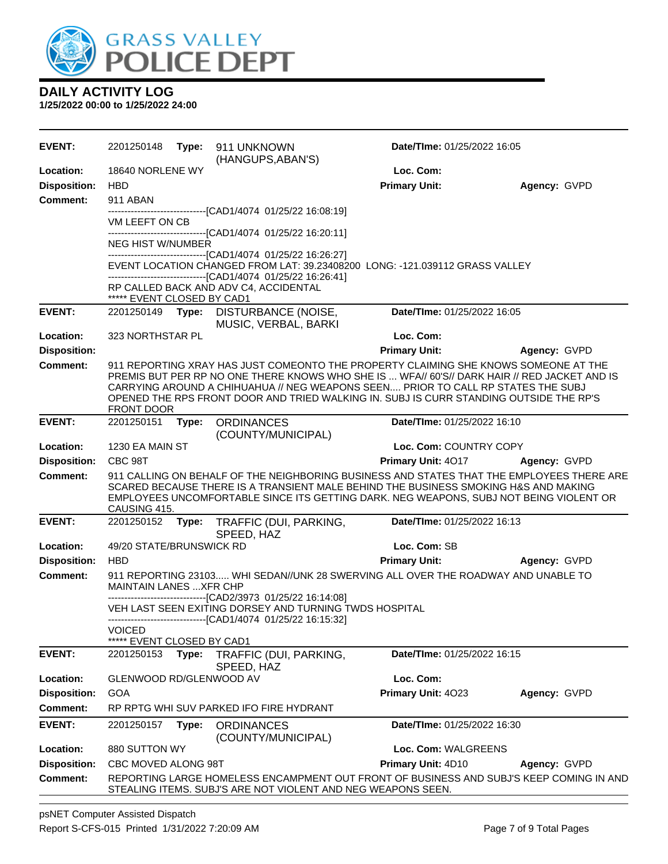

**1/25/2022 00:00 to 1/25/2022 24:00**

| <b>EVENT:</b>       |                                |       | 2201250148    Type: 911    UNKNOWN<br>(HANGUPS, ABAN'S)      | Date/TIme: 01/25/2022 16:05                                                                                                                                                                                                                                                                                                                                       |              |
|---------------------|--------------------------------|-------|--------------------------------------------------------------|-------------------------------------------------------------------------------------------------------------------------------------------------------------------------------------------------------------------------------------------------------------------------------------------------------------------------------------------------------------------|--------------|
| Location:           | 18640 NORLENE WY               |       |                                                              | Loc. Com:                                                                                                                                                                                                                                                                                                                                                         |              |
| <b>Disposition:</b> | <b>HBD</b>                     |       |                                                              | <b>Primary Unit:</b>                                                                                                                                                                                                                                                                                                                                              | Agency: GVPD |
| <b>Comment:</b>     | 911 ABAN                       |       |                                                              |                                                                                                                                                                                                                                                                                                                                                                   |              |
|                     | VM LEEFT ON CB                 |       |                                                              |                                                                                                                                                                                                                                                                                                                                                                   |              |
|                     |                                |       | -------------------------------[CAD1/4074 01/25/22 16:20:11] |                                                                                                                                                                                                                                                                                                                                                                   |              |
|                     | <b>NEG HIST W/NUMBER</b>       |       | -------------------------------[CAD1/4074 01/25/22 16:26:27] |                                                                                                                                                                                                                                                                                                                                                                   |              |
|                     |                                |       |                                                              | EVENT LOCATION CHANGED FROM LAT: 39.23408200 LONG: -121.039112 GRASS VALLEY                                                                                                                                                                                                                                                                                       |              |
|                     |                                |       | -------------------------------[CAD1/4074 01/25/22 16:26:41] |                                                                                                                                                                                                                                                                                                                                                                   |              |
|                     | ***** EVENT CLOSED BY CAD1     |       | RP CALLED BACK AND ADV C4, ACCIDENTAL                        |                                                                                                                                                                                                                                                                                                                                                                   |              |
| <b>EVENT:</b>       | 2201250149 <b>Type:</b>        |       | DISTURBANCE (NOISE,<br>MUSIC, VERBAL, BARKI                  | Date/TIme: 01/25/2022 16:05                                                                                                                                                                                                                                                                                                                                       |              |
| Location:           | 323 NORTHSTAR PL               |       |                                                              | Loc. Com:                                                                                                                                                                                                                                                                                                                                                         |              |
| <b>Disposition:</b> |                                |       |                                                              | <b>Primary Unit:</b>                                                                                                                                                                                                                                                                                                                                              | Agency: GVPD |
| <b>Comment:</b>     | <b>FRONT DOOR</b>              |       |                                                              | 911 REPORTING XRAY HAS JUST COMEONTO THE PROPERTY CLAIMING SHE KNOWS SOMEONE AT THE<br>PREMIS BUT PER RP NO ONE THERE KNOWS WHO SHE IS  WFA// 60'S// DARK HAIR // RED JACKET AND IS<br>CARRYING AROUND A CHIHUAHUA // NEG WEAPONS SEEN PRIOR TO CALL RP STATES THE SUBJ<br>OPENED THE RPS FRONT DOOR AND TRIED WALKING IN, SUBJ IS CURR STANDING OUTSIDE THE RP'S |              |
| <b>EVENT:</b>       | 2201250151                     | Type: | <b>ORDINANCES</b><br>(COUNTY/MUNICIPAL)                      | Date/TIme: 01/25/2022 16:10                                                                                                                                                                                                                                                                                                                                       |              |
| Location:           | 1230 EA MAIN ST                |       |                                                              | Loc. Com: COUNTRY COPY                                                                                                                                                                                                                                                                                                                                            |              |
| <b>Disposition:</b> | CBC 98T                        |       |                                                              | <b>Primary Unit: 4017</b>                                                                                                                                                                                                                                                                                                                                         | Agency: GVPD |
| <b>Comment:</b>     | CAUSING 415.                   |       |                                                              | 911 CALLING ON BEHALF OF THE NEIGHBORING BUSINESS AND STATES THAT THE EMPLOYEES THERE ARE<br>SCARED BECAUSE THERE IS A TRANSIENT MALE BEHIND THE BUSINESS SMOKING H&S AND MAKING<br>EMPLOYEES UNCOMFORTABLE SINCE ITS GETTING DARK. NEG WEAPONS, SUBJ NOT BEING VIOLENT OR                                                                                        |              |
| <b>EVENT:</b>       | 2201250152                     |       | Type: TRAFFIC (DUI, PARKING,<br>SPEED, HAZ                   | Date/TIme: 01/25/2022 16:13                                                                                                                                                                                                                                                                                                                                       |              |
| Location:           | 49/20 STATE/BRUNSWICK RD       |       |                                                              | Loc. Com: SB                                                                                                                                                                                                                                                                                                                                                      |              |
| <b>Disposition:</b> | <b>HBD</b>                     |       |                                                              | <b>Primary Unit:</b>                                                                                                                                                                                                                                                                                                                                              | Agency: GVPD |
| <b>Comment:</b>     |                                |       |                                                              | 911 REPORTING 23103 WHI SEDAN//UNK 28 SWERVING ALL OVER THE ROADWAY AND UNABLE TO                                                                                                                                                                                                                                                                                 |              |
|                     | <b>MAINTAIN LANES  XFR CHP</b> |       | -------------------------------[CAD2/3973 01/25/22 16:14:08] |                                                                                                                                                                                                                                                                                                                                                                   |              |
|                     |                                |       | VEH LAST SEEN EXITING DORSEY AND TURNING TWDS HOSPITAL       |                                                                                                                                                                                                                                                                                                                                                                   |              |
|                     | <b>VOICED</b>                  |       | -------------------------------[CAD1/4074 01/25/22 16:15:32] |                                                                                                                                                                                                                                                                                                                                                                   |              |
|                     | *****<br>EVENT CLOSED BY CAD1  |       |                                                              |                                                                                                                                                                                                                                                                                                                                                                   |              |
| <b>EVENT:</b>       | 2201250153                     | Type: | TRAFFIC (DUI, PARKING,<br>SPEED, HAZ                         | Date/TIme: 01/25/2022 16:15                                                                                                                                                                                                                                                                                                                                       |              |
| Location:           | GLENWOOD RD/GLENWOOD AV        |       |                                                              | Loc. Com:                                                                                                                                                                                                                                                                                                                                                         |              |
| <b>Disposition:</b> | GOA                            |       |                                                              | Primary Unit: 4023                                                                                                                                                                                                                                                                                                                                                | Agency: GVPD |
| <b>Comment:</b>     |                                |       | RP RPTG WHI SUV PARKED IFO FIRE HYDRANT                      |                                                                                                                                                                                                                                                                                                                                                                   |              |
| <b>EVENT:</b>       | 2201250157                     | Type: | <b>ORDINANCES</b><br>(COUNTY/MUNICIPAL)                      | Date/TIme: 01/25/2022 16:30                                                                                                                                                                                                                                                                                                                                       |              |
| Location:           | 880 SUTTON WY                  |       |                                                              | Loc. Com: WALGREENS                                                                                                                                                                                                                                                                                                                                               |              |
| <b>Disposition:</b> | CBC MOVED ALONG 98T            |       |                                                              | Primary Unit: 4D10                                                                                                                                                                                                                                                                                                                                                | Agency: GVPD |
| <b>Comment:</b>     |                                |       | STEALING ITEMS. SUBJ'S ARE NOT VIOLENT AND NEG WEAPONS SEEN. | REPORTING LARGE HOMELESS ENCAMPMENT OUT FRONT OF BUSINESS AND SUBJ'S KEEP COMING IN AND                                                                                                                                                                                                                                                                           |              |

psNET Computer Assisted Dispatch Report S-CFS-015 Printed 1/31/2022 7:20:09 AM Page 7 of 9 Total Pages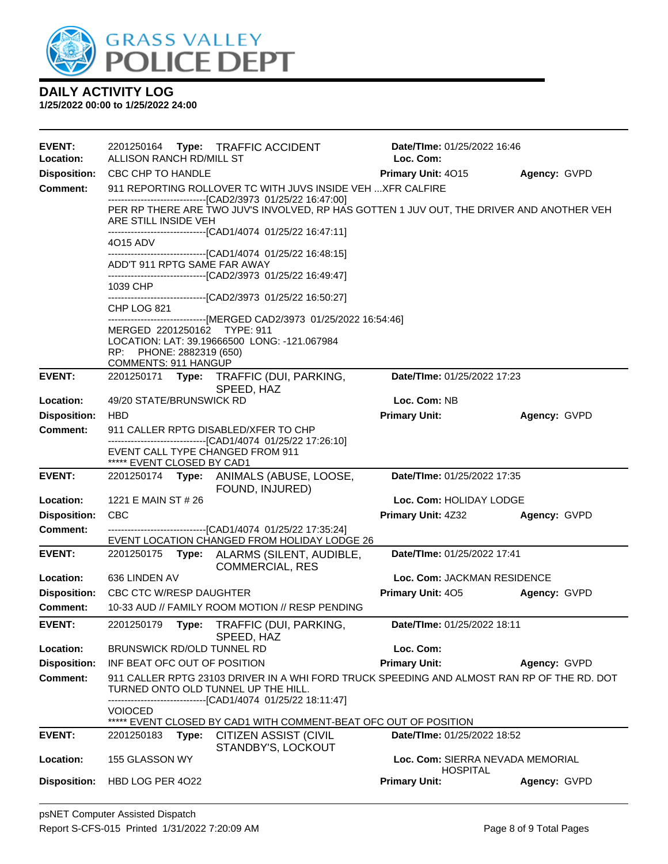

| <b>EVENT:</b><br>Location: | 2201250164 Type: TRAFFIC ACCIDENT<br>ALLISON RANCH RD/MILL ST                                                                           |                                                                                            | Date/TIme: 01/25/2022 16:46<br>Loc. Com:            |              |
|----------------------------|-----------------------------------------------------------------------------------------------------------------------------------------|--------------------------------------------------------------------------------------------|-----------------------------------------------------|--------------|
| <b>Disposition:</b>        | <b>CBC CHP TO HANDLE</b>                                                                                                                |                                                                                            | Primary Unit: 4015                                  | Agency: GVPD |
| <b>Comment:</b>            | -------------------------------[CAD2/3973 01/25/22 16:47:00]                                                                            | 911 REPORTING ROLLOVER TC WITH JUVS INSIDE VEH  XFR CALFIRE                                |                                                     |              |
|                            | ARE STILL INSIDE VEH                                                                                                                    | PER RP THERE ARE TWO JUV'S INVOLVED, RP HAS GOTTEN 1 JUV OUT, THE DRIVER AND ANOTHER VEH   |                                                     |              |
|                            | ------------------------------[CAD1/4074 01/25/22 16:47:11]<br>4015 ADV<br>-------------------------------[CAD1/4074 01/25/22 16:48:15] |                                                                                            |                                                     |              |
|                            | ADD'T 911 RPTG SAME FAR AWAY<br>-------------------------------[CAD2/3973 01/25/22 16:49:47]                                            |                                                                                            |                                                     |              |
|                            | 1039 CHP<br>------------------------------[CAD2/3973 01/25/22 16:50:27]                                                                 |                                                                                            |                                                     |              |
|                            | CHP LOG 821                                                                                                                             | ------------------------------[MERGED CAD2/3973 01/25/2022 16:54:46]                       |                                                     |              |
|                            | MERGED 2201250162 TYPE: 911<br>LOCATION: LAT: 39.19666500 LONG: -121.067984                                                             |                                                                                            |                                                     |              |
|                            | RP: PHONE: 2882319 (650)<br><b>COMMENTS: 911 HANGUP</b>                                                                                 |                                                                                            |                                                     |              |
| <b>EVENT:</b>              | 2201250171 Type: TRAFFIC (DUI, PARKING,                                                                                                 | SPEED, HAZ                                                                                 | Date/TIme: 01/25/2022 17:23                         |              |
| Location:                  | 49/20 STATE/BRUNSWICK RD                                                                                                                |                                                                                            | Loc. Com: NB                                        |              |
| <b>Disposition:</b>        | <b>HBD</b>                                                                                                                              |                                                                                            | <b>Primary Unit:</b>                                | Agency: GVPD |
| <b>Comment:</b>            | 911 CALLER RPTG DISABLED/XFER TO CHP                                                                                                    |                                                                                            |                                                     |              |
|                            | -------------------------------[CAD1/4074 01/25/22 17:26:10]<br>EVENT CALL TYPE CHANGED FROM 911<br>***** EVENT CLOSED BY CAD1          |                                                                                            |                                                     |              |
| <b>EVENT:</b>              | 2201250174 Type: ANIMALS (ABUSE, LOOSE,                                                                                                 | FOUND, INJURED)                                                                            | Date/TIme: 01/25/2022 17:35                         |              |
| Location:                  | 1221 E MAIN ST # 26                                                                                                                     |                                                                                            | Loc. Com: HOLIDAY LODGE                             |              |
| <b>Disposition:</b>        | CBC                                                                                                                                     |                                                                                            | <b>Primary Unit: 4Z32</b>                           | Agency: GVPD |
| <b>Comment:</b>            | ------------------------------[CAD1/4074 01/25/22 17:35:24]                                                                             | EVENT LOCATION CHANGED FROM HOLIDAY LODGE 26                                               |                                                     |              |
| <b>EVENT:</b>              | 2201250175 Type: ALARMS (SILENT, AUDIBLE,                                                                                               | <b>COMMERCIAL, RES</b>                                                                     | Date/TIme: 01/25/2022 17:41                         |              |
| Location:                  | 636 LINDEN AV                                                                                                                           |                                                                                            | Loc. Com: JACKMAN RESIDENCE                         |              |
| <b>Disposition:</b>        | CBC CTC W/RESP DAUGHTER                                                                                                                 |                                                                                            | <b>Primary Unit: 405</b>                            | Agency: GVPD |
| <b>Comment:</b>            | 10-33 AUD // FAMILY ROOM MOTION // RESP PENDING                                                                                         |                                                                                            |                                                     |              |
| <b>EVENT:</b>              | 2201250179 Type: TRAFFIC (DUI, PARKING,                                                                                                 | SPEED, HAZ                                                                                 | Date/TIme: 01/25/2022 18:11                         |              |
| Location:                  | <b>BRUNSWICK RD/OLD TUNNEL RD</b>                                                                                                       |                                                                                            | Loc. Com:                                           |              |
| <b>Disposition:</b>        | INF BEAT OFC OUT OF POSITION                                                                                                            |                                                                                            | <b>Primary Unit:</b>                                | Agency: GVPD |
| Comment:                   | TURNED ONTO OLD TUNNEL UP THE HILL.                                                                                                     | 911 CALLER RPTG 23103 DRIVER IN A WHI FORD TRUCK SPEEDING AND ALMOST RAN RP OF THE RD. DOT |                                                     |              |
|                            | -------------------------------[CAD1/4074 01/25/22 18:11:47]                                                                            |                                                                                            |                                                     |              |
|                            | <b>VOIOCED</b>                                                                                                                          |                                                                                            |                                                     |              |
| <b>EVENT:</b>              | 2201250183<br>Type:                                                                                                                     | ***** EVENT CLOSED BY CAD1 WITH COMMENT-BEAT OFC OUT OF POSITION<br>CITIZEN ASSIST (CIVIL  | Date/TIme: 01/25/2022 18:52                         |              |
|                            |                                                                                                                                         | STANDBY'S, LOCKOUT                                                                         |                                                     |              |
| Location:                  | 155 GLASSON WY                                                                                                                          |                                                                                            | Loc. Com: SIERRA NEVADA MEMORIAL<br><b>HOSPITAL</b> |              |
| <b>Disposition:</b>        | HBD LOG PER 4022                                                                                                                        |                                                                                            | <b>Primary Unit:</b>                                | Agency: GVPD |